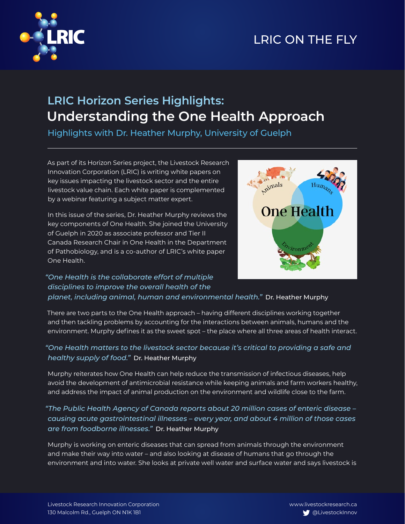

# LRIC ON THE FLY

## **LRIC Horizon Series Highlights: Understanding the One Health Approach**

Highlights with Dr. Heather Murphy, University of Guelph

As part of its Horizon Series project, the Livestock Research Innovation Corporation (LRIC) is writing white papers on key issues impacting the livestock sector and the entire livestock value chain. Each white paper is complemented by a webinar featuring a subject matter expert.

In this issue of the series, Dr. Heather Murphy reviews the key components of One Health. She joined the University of Guelph in 2020 as associate professor and Tier II Canada Research Chair in One Health in the Department of Pathobiology, and is a co-author of LRIC's white paper One Health.



### *"One Health is the collaborate effort of multiple disciplines to improve the overall health of the planet, including animal, human and environmental health."* Dr. Heather Murphy

There are two parts to the One Health approach – having different disciplines working together and then tackling problems by accounting for the interactions between animals, humans and the environment. Murphy defines it as the sweet spot – the place where all three areas of health interact.

#### *"One Health matters to the livestock sector because it's critical to providing a safe and healthy supply of food."* Dr. Heather Murphy

Murphy reiterates how One Health can help reduce the transmission of infectious diseases, help avoid the development of antimicrobial resistance while keeping animals and farm workers healthy, and address the impact of animal production on the environment and wildlife close to the farm.

### *"The Public Health Agency of Canada reports about 20 million cases of enteric disease – causing acute gastrointestinal illnesses – every year, and about 4 million of those cases are from foodborne illnesses."* Dr. Heather Murphy

Murphy is working on enteric diseases that can spread from animals through the environment and make their way into water – and also looking at disease of humans that go through the environment and into water. She looks at private well water and surface water and says livestock is